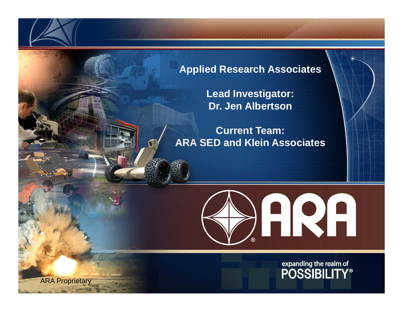### **Applied Research Associates**

**Lead Investigator: Dr. Jen Albertson**

**Current Team: ARA SED and Klein Associates**



expanding the realm of<br>POSSIBILITY®

ARA Proprietary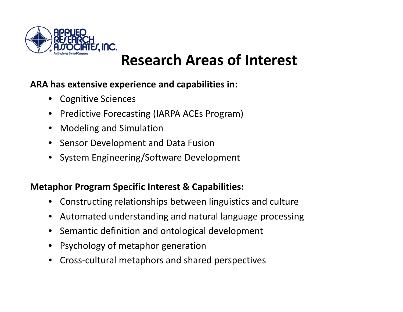

# **Research Areas of Interest**

## **ARA has extensive experience and capabilities in:**

- $\bullet$ Cognitive Sciences
- $\bullet$ • Predictive Forecasting (IARPA ACEs Program)
- $\bullet$ Modeling and Simulation
- $\bullet$ Sensor Development and Data Fusion
- $\bullet$ System Engineering/Software Development

## **Metaphor Program Specific Interest & Capabilities:**

- $\bullet$ Constructing relationships between linguistics and culture
- $\bullet$ Automated understanding and natural language processing
- $\bullet$ **•** Semantic definition and ontological development
- $\bullet$ Psychology of metaphor generation
- $\bullet$ Cross‐cultural metaphors and shared perspectives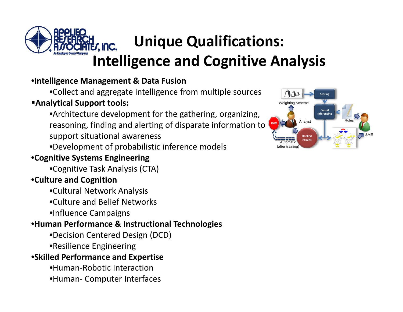

# **Unique Qualifications: its. Inc. Intelligence and Cognitive Analysis**

### •**Intelligence Management & Data Fusion**

•Collect and aggregate intelligence from multiple sources

#### **Analytical Support tools:**

•Architecture development for the gathering, organizing, reasoning, finding and alerting of disparate information to support situational awareness

•Development of probabilistic inference models

## •**Cognitive Systems Engineering**

•Cognitive Task Analysis (CTA)

### •**Culture and Cognition**

•Cultural Network Analysis

•Culture and Belief Networks

•Influence Campaigns

#### •**Human Performance & Instructional Technologies**

- •Decision Centered Design (DCD)
- •Resilience Engineering

#### •**Skilled Performance and Expertise**

- •Human‐Robotic Interaction
- •Human‐ Computer Interfaces

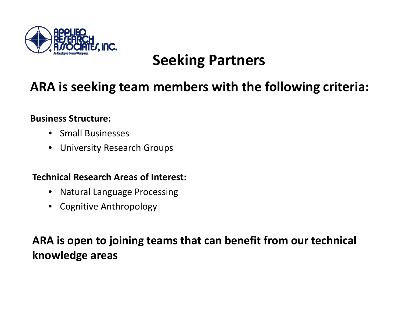

# **Seeking Partners**

# **ARA is seeking team members with the following criteria:**

#### **Business Structure:**

- •Small Businesses
- •University Research Groups

#### **Technical Research Areas of Interest:**

- •Natural Language Processing
- •Cognitive Anthropology

# **ARA is open to joining teams that can benefit from our technical knowledge areas**